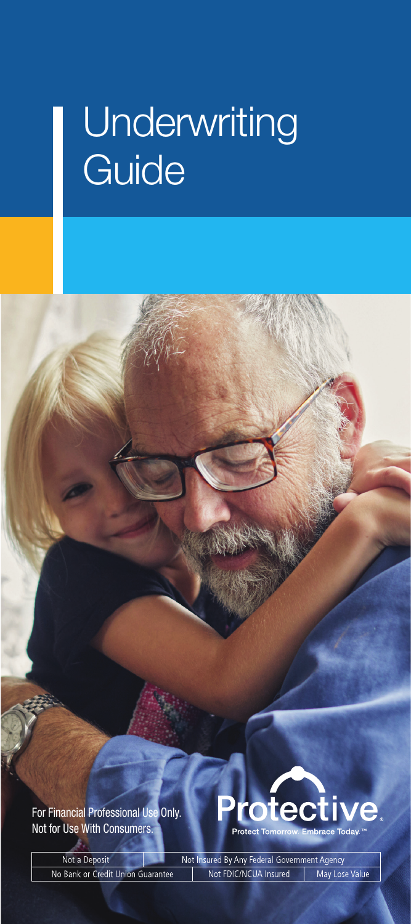# **Underwriting** Guide

For Financial Professional Use Only. Not for Use With Consumers.



Not Insured By Any Federal Government Agency Not a Deposit Not FDIC/NCUA Insured | May Lose Value No Bank or Credit Union Guarantee

For Financial Professional Use Only. Not for Use With Consumers. i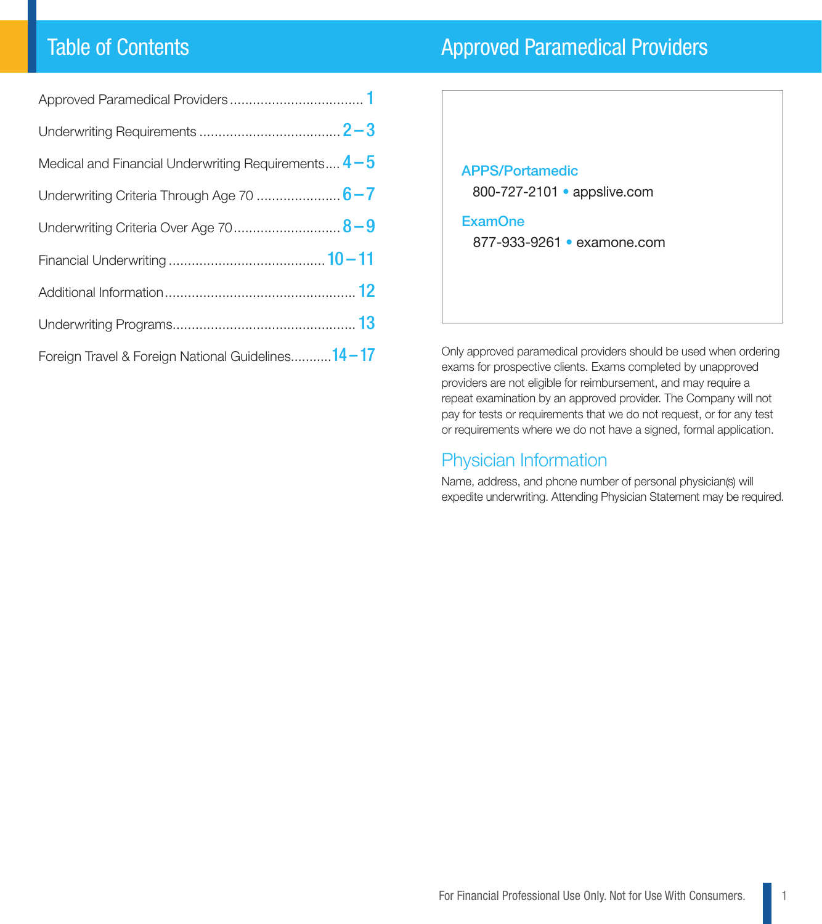# Table of Contents

| <b>Approved Paramedical Providers</b> |
|---------------------------------------|
|                                       |
|                                       |

| Medical and Financial Underwriting Requirements $4-5$ |
|-------------------------------------------------------|
|                                                       |
| Underwriting Criteria Over Age 70 8-9                 |
|                                                       |
|                                                       |
|                                                       |
| Foreign Travel & Foreign National Guidelines14-17     |

| <b>APPS/Portamedic</b><br>800-727-2101 · appslive.com |  |
|-------------------------------------------------------|--|
| <b>ExamOne</b><br>877-933-9261 • examone.com          |  |
|                                                       |  |

Only approved paramedical providers should be used when ordering exams for prospective clients. Exams completed by unapproved providers are not eligible for reimbursement, and may require a repeat examination by an approved provider. The Company will not pay for tests or requirements that we do not request, or for any test or requirements where we do not have a signed, formal application.

#### Physician Information

Name, address, and phone number of personal physician(s) will expedite underwriting. Attending Physician Statement may be required.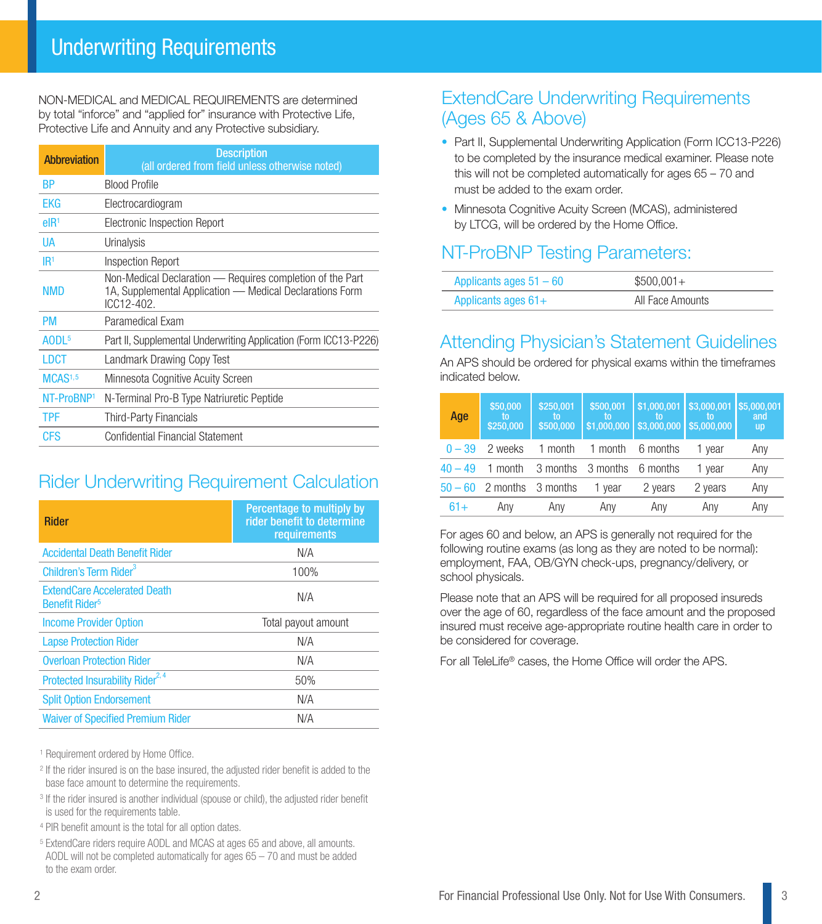NON-MEDICAL and MEDICAL REQUIREMENTS are determined by total "inforce" and "applied for" insurance with Protective Life, Protective Life and Annuity and any Protective subsidiary.

| <b>Abbreviation</b>    | <b>Description</b><br>(all ordered from field unless otherwise noted)                                                               |  |  |  |  |  |
|------------------------|-------------------------------------------------------------------------------------------------------------------------------------|--|--|--|--|--|
| BP                     | <b>Blood Profile</b>                                                                                                                |  |  |  |  |  |
| <b>EKG</b>             | Electrocardiogram                                                                                                                   |  |  |  |  |  |
| elR <sup>1</sup>       | Electronic Inspection Report                                                                                                        |  |  |  |  |  |
| UA                     | Urinalysis                                                                                                                          |  |  |  |  |  |
| IR <sup>1</sup>        | <b>Inspection Report</b>                                                                                                            |  |  |  |  |  |
| <b>NMD</b>             | Non-Medical Declaration - Requires completion of the Part<br>1A, Supplemental Application — Medical Declarations Form<br>ICC12-402. |  |  |  |  |  |
| <b>PM</b>              | Paramedical Exam                                                                                                                    |  |  |  |  |  |
| AODL <sup>5</sup>      | Part II, Supplemental Underwriting Application (Form ICC13-P226)                                                                    |  |  |  |  |  |
| LDCT                   | Landmark Drawing Copy Test                                                                                                          |  |  |  |  |  |
| MCAS <sup>1,5</sup>    | Minnesota Cognitive Acuity Screen                                                                                                   |  |  |  |  |  |
| NT-ProBNP <sup>1</sup> | N-Terminal Pro-B Type Natriuretic Peptide                                                                                           |  |  |  |  |  |
| <b>TPF</b>             | Third-Party Financials                                                                                                              |  |  |  |  |  |
| CFS                    | Confidential Financial Statement                                                                                                    |  |  |  |  |  |

# Rider Underwriting Requirement Calculation

| <b>Rider</b>                                                            | Percentage to multiply by<br>rider benefit to determine<br>requirements |
|-------------------------------------------------------------------------|-------------------------------------------------------------------------|
| <b>Accidental Death Benefit Rider</b>                                   | N/A                                                                     |
| Children's Term Rider <sup>3</sup>                                      | 100%                                                                    |
| <b>ExtendCare Accelerated Death</b><br><b>Benefit Rider<sup>5</sup></b> | N/A                                                                     |
| <b>Income Provider Option</b>                                           | Total payout amount                                                     |
| <b>Lapse Protection Rider</b>                                           | N/A                                                                     |
| <b>Overloan Protection Rider</b>                                        | N/A                                                                     |
| Protected Insurability Rider <sup>2, 4</sup>                            | 50%                                                                     |
| <b>Split Option Endorsement</b>                                         | N/A                                                                     |
| <b>Waiver of Specified Premium Rider</b>                                | N/A                                                                     |

1 Requirement ordered by Home Office.

- <sup>2</sup> If the rider insured is on the base insured, the adjusted rider benefit is added to the base face amount to determine the requirements.
- <sup>3</sup> If the rider insured is another individual (spouse or child), the adjusted rider benefit is used for the requirements table.
- <sup>4</sup> PIR benefit amount is the total for all option dates.
- <sup>5</sup> ExtendCare riders require AODL and MCAS at ages 65 and above, all amounts. AODL will not be completed automatically for ages 65 – 70 and must be added to the exam order.

## ExtendCare Underwriting Requirements (Ages 65 & Above)

- Part II, Supplemental Underwriting Application (Form ICC13-P226) to be completed by the insurance medical examiner. Please note this will not be completed automatically for ages 65 – 70 and must be added to the exam order.
- Minnesota Cognitive Acuity Screen (MCAS), administered by LTCG, will be ordered by the Home Office.

# NT-ProBNP Testing Parameters:

| Applicants ages $51 - 60$ | $$500,001+$      |
|---------------------------|------------------|
| Applicants ages $61+$     | All Face Amounts |

# Attending Physician's Statement Guidelines

An APS should be ordered for physical exams within the timeframes indicated below.

| Age       | \$50,000<br>to<br>\$250,000 | \$250,001<br>to<br>\$500,000 | \$500,001<br>to<br>\$1,000,000 | \$1,000,001<br>\$3,000,000 | \$3,000,001<br>\$5,000,000 | \$5,000,001<br>and<br><b>up</b> |
|-----------|-----------------------------|------------------------------|--------------------------------|----------------------------|----------------------------|---------------------------------|
| $0 - 39$  | 2 weeks                     | 1 month                      | 1 month                        | 6 months                   | 1 vear                     | Any                             |
| $40 - 49$ | 1 month                     | 3 months                     | 3 months                       | 6 months                   | 1 year                     | Any                             |
|           | $50 - 60$ 2 months          | 3 months                     | 1 year                         | 2 years                    | 2 years                    | Any                             |
| $61+$     | Any                         | Any                          | Any                            | Any                        | Any                        | Any                             |

For ages 60 and below, an APS is generally not required for the following routine exams (as long as they are noted to be normal): employment, FAA, OB/GYN check-ups, pregnancy/delivery, or school physicals.

Please note that an APS will be required for all proposed insureds over the age of 60, regardless of the face amount and the proposed insured must receive age-appropriate routine health care in order to be considered for coverage.

For all TeleLife® cases, the Home Office will order the APS.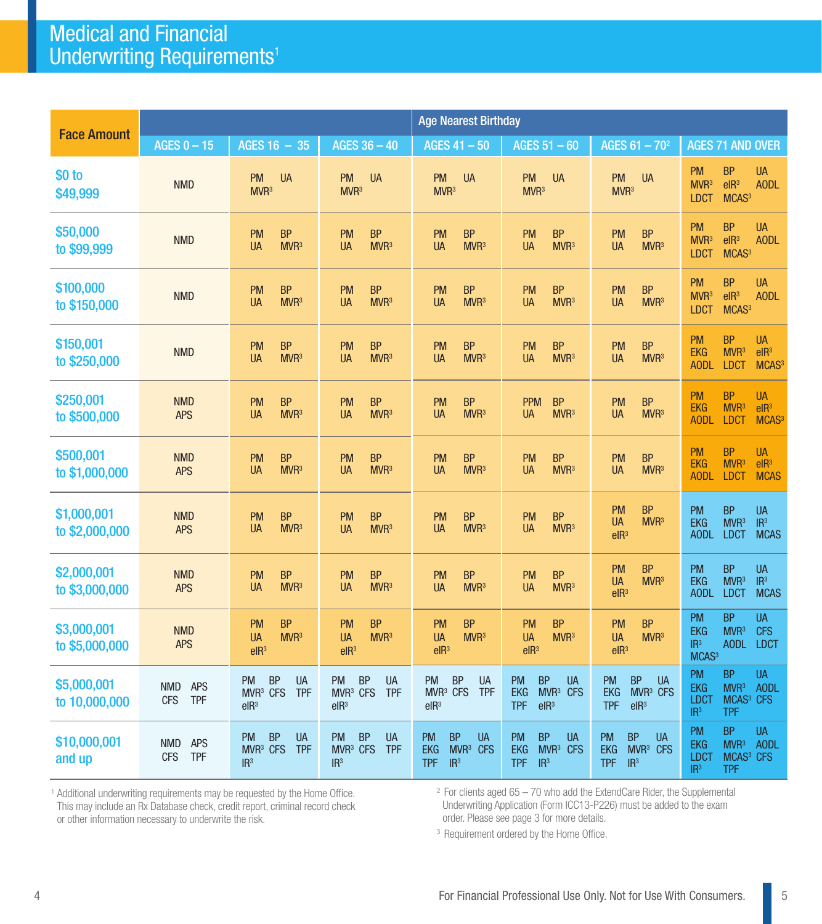# Medical and Financial Underwriting Requirements<sup>1</sup>

|                               | <b>Age Nearest Birthday</b>                          |                                                                                               |                                                                                               |                                                                                                            |                                                                                                             |                                                                                                            |                                                                                                                                                               |
|-------------------------------|------------------------------------------------------|-----------------------------------------------------------------------------------------------|-----------------------------------------------------------------------------------------------|------------------------------------------------------------------------------------------------------------|-------------------------------------------------------------------------------------------------------------|------------------------------------------------------------------------------------------------------------|---------------------------------------------------------------------------------------------------------------------------------------------------------------|
| <b>Face Amount</b>            | AGES $0 - 15$                                        | AGES 16 - 35                                                                                  | AGES 36 - 40                                                                                  | AGES $41 - 50$                                                                                             | AGES $51 - 60$                                                                                              | AGES $61 - 70^2$                                                                                           | <b>AGES 71 AND OVER</b>                                                                                                                                       |
| \$0 to<br>\$49,999            | <b>NMD</b>                                           | <b>PM</b><br><b>UA</b><br>MVR <sup>3</sup>                                                    | <b>PM</b><br><b>UA</b><br>MVR <sup>3</sup>                                                    | <b>PM</b><br><b>UA</b><br>MVR <sup>3</sup>                                                                 | <b>PM</b><br><b>UA</b><br>MVR <sup>3</sup>                                                                  | <b>PM</b><br><b>UA</b><br>MVR <sup>3</sup>                                                                 | <b>PM</b><br><b>BP</b><br><b>UA</b><br>elR <sup>3</sup><br>MVR <sup>3</sup><br><b>AODL</b><br>MCAS <sup>3</sup><br><b>LDCT</b>                                |
| \$50,000<br>to \$99,999       | <b>NMD</b>                                           | <b>BP</b><br><b>PM</b><br>MVR <sup>3</sup><br><b>UA</b>                                       | <b>PM</b><br><b>BP</b><br>MVR <sup>3</sup><br><b>UA</b>                                       | <b>PM</b><br><b>BP</b><br><b>UA</b><br>MVR <sup>3</sup>                                                    | <b>BP</b><br><b>PM</b><br>MVR <sup>3</sup><br>UA                                                            | <b>BP</b><br><b>PM</b><br>MVR <sup>3</sup><br><b>UA</b>                                                    | <b>BP</b><br><b>PM</b><br><b>UA</b><br>elR <sup>3</sup><br>MVR <sup>3</sup><br><b>AODL</b><br>MCAS <sup>3</sup><br><b>LDCT</b>                                |
| \$100,000<br>to \$150,000     | <b>NMD</b>                                           | <b>PM</b><br><b>BP</b><br>MVR <sup>3</sup><br><b>UA</b>                                       | <b>PM</b><br><b>BP</b><br>MVR <sup>3</sup><br><b>UA</b>                                       | <b>PM</b><br><b>BP</b><br><b>UA</b><br>MVR <sup>3</sup>                                                    | <b>BP</b><br><b>PM</b><br>UA<br>MVR <sup>3</sup>                                                            | <b>BP</b><br><b>PM</b><br><b>UA</b><br>MVR <sup>3</sup>                                                    | <b>BP</b><br><b>PM</b><br><b>UA</b><br>elR <sup>3</sup><br><b>AODL</b><br>MVR <sup>3</sup><br>MCAS <sup>3</sup><br><b>LDCT</b>                                |
| \$150,001<br>to \$250,000     | <b>NMD</b>                                           | <b>BP</b><br><b>PM</b><br>MVR <sup>3</sup><br><b>UA</b>                                       | <b>BP</b><br><b>PM</b><br>MVR <sup>3</sup><br><b>UA</b>                                       | <b>BP</b><br><b>PM</b><br>MVR <sup>3</sup><br><b>UA</b>                                                    | <b>PM</b><br><b>BP</b><br>MVR <sup>3</sup><br>UA                                                            | <b>BP</b><br><b>PM</b><br>MVR <sup>3</sup><br><b>UA</b>                                                    | <b>BP</b><br>PM<br><b>UA</b><br>MVR <sup>3</sup><br>elR <sup>3</sup><br><b>EKG</b><br>MCAS <sup>3</sup><br><b>AODL</b><br><b>LDCT</b>                         |
| \$250,001<br>to \$500,000     | <b>NMD</b><br><b>APS</b>                             | <b>BP</b><br><b>PM</b><br><b>UA</b><br>MVR <sup>3</sup>                                       | <b>BP</b><br><b>PM</b><br>UA<br>MVR <sup>3</sup>                                              | <b>BP</b><br><b>PM</b><br>UA<br>MVR <sup>3</sup>                                                           | <b>PPM</b><br><b>BP</b><br>MVR <sup>3</sup><br>UA                                                           | PM<br><b>BP</b><br><b>UA</b><br>MVR <sup>3</sup>                                                           | <b>BP</b><br><b>PM</b><br><b>UA</b><br><b>EKG</b><br>MVR <sup>3</sup><br>elR <sup>3</sup><br>MCAS <sup>3</sup><br><b>AODL</b><br><b>LDCT</b>                  |
| \$500,001<br>to \$1,000,000   | <b>NMD</b><br><b>APS</b>                             | <b>BP</b><br><b>PM</b><br><b>UA</b><br>MVR <sup>3</sup>                                       | <b>BP</b><br><b>PM</b><br><b>UA</b><br>MVR <sup>3</sup>                                       | <b>BP</b><br><b>PM</b><br>MVR <sup>3</sup><br><b>UA</b>                                                    | <b>BP</b><br><b>PM</b><br>UA<br>MVR <sup>3</sup>                                                            | PM<br><b>BP</b><br>MVR <sup>3</sup><br><b>UA</b>                                                           | <b>PM</b><br><b>BP</b><br><b>UA</b><br>MVR <sup>3</sup><br>elR <sup>3</sup><br><b>EKG</b><br><b>AODL</b><br><b>LDCT</b><br><b>MCAS</b>                        |
| \$1,000,001<br>to \$2,000,000 | <b>NMD</b><br><b>APS</b>                             | <b>BP</b><br><b>PM</b><br>MVR <sup>3</sup><br><b>UA</b>                                       | <b>PM</b><br><b>BP</b><br>MVR <sup>3</sup><br><b>UA</b>                                       | <b>PM</b><br><b>BP</b><br>MVR <sup>3</sup><br><b>UA</b>                                                    | <b>BP</b><br><b>PM</b><br>MVR <sup>3</sup><br>UA                                                            | <b>PM</b><br><b>BP</b><br>MVR <sup>3</sup><br><b>UA</b><br>elR <sup>3</sup>                                | <b>BP</b><br><b>UA</b><br>PM<br><b>EKG</b><br>MVR <sup>3</sup><br>IR <sup>3</sup><br><b>MCAS</b><br><b>AODL</b><br><b>LDCT</b>                                |
| \$2,000,001<br>to \$3,000,000 | <b>NMD</b><br><b>APS</b>                             | <b>BP</b><br><b>PM</b><br>MVR <sup>3</sup><br><b>UA</b>                                       | <b>BP</b><br><b>PM</b><br>MVR <sup>3</sup><br><b>UA</b>                                       | <b>BP</b><br><b>PM</b><br><b>UA</b><br>MVR <sup>3</sup>                                                    | PM<br><b>BP</b><br><b>UA</b><br>MVR <sup>3</sup>                                                            | <b>BP</b><br><b>PM</b><br>MVR <sup>3</sup><br><b>UA</b><br>elR <sup>3</sup>                                | <b>BP</b><br><b>UA</b><br><b>PM</b><br>MVR <sup>3</sup><br>IR <sup>3</sup><br><b>EKG</b><br><b>MCAS</b><br><b>AODL</b><br><b>LDCT</b>                         |
| \$3,000,001<br>to \$5,000,000 | <b>NMD</b><br><b>APS</b>                             | <b>BP</b><br><b>PM</b><br>MVR <sup>3</sup><br><b>UA</b><br>elR <sup>3</sup>                   | <b>PM</b><br><b>BP</b><br>MVR <sup>3</sup><br><b>UA</b><br>elR <sup>3</sup>                   | <b>PM</b><br><b>BP</b><br>MVR <sup>3</sup><br><b>UA</b><br>elR <sup>3</sup>                                | <b>PM</b><br><b>BP</b><br>MVR <sup>3</sup><br><b>UA</b><br>elR <sup>3</sup>                                 | <b>BP</b><br><b>PM</b><br>MVR <sup>3</sup><br><b>UA</b><br>elR <sup>3</sup>                                | <b>BP</b><br><b>UA</b><br><b>PM</b><br>MVR <sup>3</sup><br><b>CFS</b><br><b>EKG</b><br>IR <sup>3</sup><br><b>AODL</b><br><b>LDCT</b><br>MCAS <sup>3</sup>     |
| \$5,000,001<br>to 10,000,000  | <b>APS</b><br><b>NMD</b><br><b>CFS</b><br><b>TPF</b> | <b>BP</b><br><b>UA</b><br><b>PM</b><br>MVR <sup>3</sup> CFS<br><b>TPF</b><br>elR <sup>3</sup> | <b>BP</b><br><b>PM</b><br><b>UA</b><br>MVR <sup>3</sup> CFS<br><b>TPF</b><br>elR <sup>3</sup> | <b>BP</b><br><b>PM</b><br><b>UA</b><br>$MVR3$ CFS<br><b>TPF</b><br>elR <sup>3</sup>                        | <b>BP</b><br><b>PM</b><br><b>UA</b><br><b>EKG</b><br>MVR <sup>3</sup> CFS<br>elR <sup>3</sup><br><b>TPF</b> | <b>BP</b><br><b>PM</b><br><b>UA</b><br>$MVR3$ CFS<br><b>EKG</b><br><b>TPF</b><br>elR <sup>3</sup>          | <b>BP</b><br><b>PM</b><br><b>UA</b><br>MVR <sup>3</sup><br><b>AODL</b><br><b>EKG</b><br>MCAS <sup>3</sup> CFS<br><b>LDCT</b><br>IR <sup>3</sup><br><b>TPF</b> |
| \$10,000,001<br>and up        | <b>APS</b><br><b>NMD</b><br><b>TPF</b><br><b>CFS</b> | <b>BP</b><br><b>UA</b><br><b>PM</b><br>MVR <sup>3</sup> CFS<br><b>TPF</b><br>IR <sup>3</sup>  | <b>BP</b><br><b>PM</b><br><b>UA</b><br>MVR <sup>3</sup> CFS<br><b>TPF</b><br>IR <sup>3</sup>  | <b>PM</b><br><b>BP</b><br><b>UA</b><br>MVR <sup>3</sup> CFS<br><b>EKG</b><br><b>TPF</b><br>IR <sup>3</sup> | <b>PM</b><br><b>BP</b><br><b>UA</b><br><b>EKG</b><br>MVR <sup>3</sup> CFS<br><b>TPF</b><br>IR <sup>3</sup>  | <b>BP</b><br><b>PM</b><br><b>UA</b><br>MVR <sup>3</sup> CFS<br><b>EKG</b><br><b>TPF</b><br>IR <sup>3</sup> | <b>BP</b><br><b>UA</b><br><b>PM</b><br>MVR <sup>3</sup><br><b>AODL</b><br>EKG<br>MCAS <sup>3</sup> CFS<br>LDCT<br>IR <sup>3</sup><br><b>TPF</b>               |

<sup>1</sup> Additional underwriting requirements may be requested by the Home Office. This may include an Rx Database check, credit report, criminal record check or other information necessary to underwrite the risk.

<sup>2</sup> For clients aged 65 – 70 who add the ExtendCare Rider, the Supplemental Underwriting Application (Form ICC13-P226) must be added to the exam order. Please see page 3 for more details.

<sup>3</sup> Requirement ordered by the Home Office.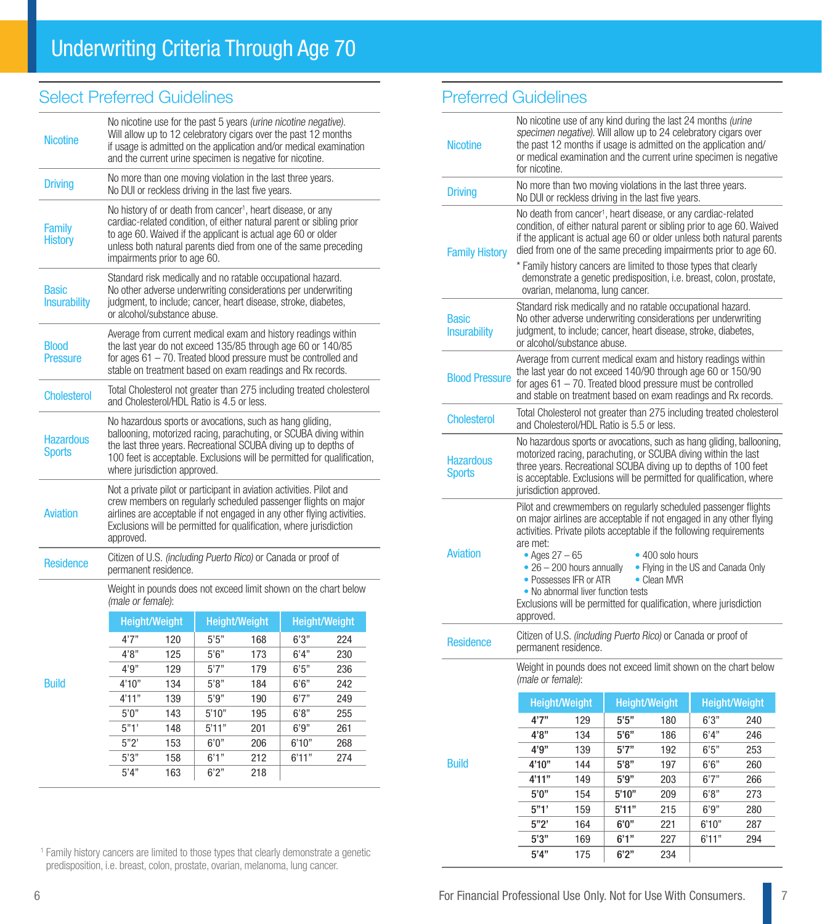## Select Preferred Guidelines

| No nicotine use for the past 5 years (urine nicotine negative).<br>Will allow up to 12 celebratory cigars over the past 12 months<br>if usage is admitted on the application and/or medical examination<br>and the current urine specimen is negative for nicotine.                    |                                                                                                                                                                                                                                                                  |                                                                          |                                                                                                      |                                                                          |                                                                                                                                                                                                                                                                                                                                                                                                                     |  |  |
|----------------------------------------------------------------------------------------------------------------------------------------------------------------------------------------------------------------------------------------------------------------------------------------|------------------------------------------------------------------------------------------------------------------------------------------------------------------------------------------------------------------------------------------------------------------|--------------------------------------------------------------------------|------------------------------------------------------------------------------------------------------|--------------------------------------------------------------------------|---------------------------------------------------------------------------------------------------------------------------------------------------------------------------------------------------------------------------------------------------------------------------------------------------------------------------------------------------------------------------------------------------------------------|--|--|
| No more than one moving violation in the last three years.<br>No DUI or reckless driving in the last five years.                                                                                                                                                                       |                                                                                                                                                                                                                                                                  |                                                                          |                                                                                                      |                                                                          |                                                                                                                                                                                                                                                                                                                                                                                                                     |  |  |
| No history of or death from cancer <sup>1</sup> , heart disease, or any<br>cardiac-related condition, of either natural parent or sibling prior<br>to age 60. Waived if the applicant is actual age 60 or older<br>unless both natural parents died from one of the same preceding     |                                                                                                                                                                                                                                                                  |                                                                          |                                                                                                      |                                                                          |                                                                                                                                                                                                                                                                                                                                                                                                                     |  |  |
|                                                                                                                                                                                                                                                                                        |                                                                                                                                                                                                                                                                  |                                                                          |                                                                                                      |                                                                          |                                                                                                                                                                                                                                                                                                                                                                                                                     |  |  |
|                                                                                                                                                                                                                                                                                        | Average from current medical exam and history readings within<br>the last year do not exceed 135/85 through age 60 or 140/85<br>for ages $61 - 70$ . Treated blood pressure must be controlled and<br>stable on treatment based on exam readings and Rx records. |                                                                          |                                                                                                      |                                                                          |                                                                                                                                                                                                                                                                                                                                                                                                                     |  |  |
|                                                                                                                                                                                                                                                                                        |                                                                                                                                                                                                                                                                  |                                                                          |                                                                                                      |                                                                          |                                                                                                                                                                                                                                                                                                                                                                                                                     |  |  |
| No hazardous sports or avocations, such as hang gliding,<br>ballooning, motorized racing, parachuting, or SCUBA diving within<br>the last three years. Recreational SCUBA diving up to depths of<br>100 feet is acceptable. Exclusions will be permitted for qualification,            |                                                                                                                                                                                                                                                                  |                                                                          |                                                                                                      |                                                                          |                                                                                                                                                                                                                                                                                                                                                                                                                     |  |  |
| Not a private pilot or participant in aviation activities. Pilot and<br>crew members on regularly scheduled passenger flights on major<br>airlines are acceptable if not engaged in any other flying activities.<br>Exclusions will be permitted for qualification, where jurisdiction |                                                                                                                                                                                                                                                                  |                                                                          |                                                                                                      |                                                                          |                                                                                                                                                                                                                                                                                                                                                                                                                     |  |  |
|                                                                                                                                                                                                                                                                                        |                                                                                                                                                                                                                                                                  |                                                                          |                                                                                                      |                                                                          |                                                                                                                                                                                                                                                                                                                                                                                                                     |  |  |
|                                                                                                                                                                                                                                                                                        |                                                                                                                                                                                                                                                                  |                                                                          |                                                                                                      |                                                                          |                                                                                                                                                                                                                                                                                                                                                                                                                     |  |  |
|                                                                                                                                                                                                                                                                                        |                                                                                                                                                                                                                                                                  |                                                                          |                                                                                                      | <b>Height/Weight</b>                                                     |                                                                                                                                                                                                                                                                                                                                                                                                                     |  |  |
| 4'7''                                                                                                                                                                                                                                                                                  | 120                                                                                                                                                                                                                                                              | 5'5''                                                                    | 168                                                                                                  | 6'3''                                                                    | 224                                                                                                                                                                                                                                                                                                                                                                                                                 |  |  |
| 4'8"                                                                                                                                                                                                                                                                                   | 125                                                                                                                                                                                                                                                              | 5'6''                                                                    | 173                                                                                                  | 6'4"                                                                     | 230                                                                                                                                                                                                                                                                                                                                                                                                                 |  |  |
|                                                                                                                                                                                                                                                                                        |                                                                                                                                                                                                                                                                  |                                                                          |                                                                                                      |                                                                          | 236                                                                                                                                                                                                                                                                                                                                                                                                                 |  |  |
| 4'10"                                                                                                                                                                                                                                                                                  | 134                                                                                                                                                                                                                                                              | 5'8"                                                                     | 184                                                                                                  | 6'6''                                                                    | 242                                                                                                                                                                                                                                                                                                                                                                                                                 |  |  |
|                                                                                                                                                                                                                                                                                        |                                                                                                                                                                                                                                                                  | 5'9''                                                                    | 190                                                                                                  | 6'7''                                                                    | 249                                                                                                                                                                                                                                                                                                                                                                                                                 |  |  |
| 4'11"                                                                                                                                                                                                                                                                                  | 139                                                                                                                                                                                                                                                              |                                                                          |                                                                                                      |                                                                          |                                                                                                                                                                                                                                                                                                                                                                                                                     |  |  |
| 5'0''                                                                                                                                                                                                                                                                                  | 143                                                                                                                                                                                                                                                              | 5'10"                                                                    | 195                                                                                                  | 6'8"                                                                     | 255                                                                                                                                                                                                                                                                                                                                                                                                                 |  |  |
| 5"1"                                                                                                                                                                                                                                                                                   | 148                                                                                                                                                                                                                                                              | 5'11"                                                                    | 201                                                                                                  | 6'9''                                                                    | 261                                                                                                                                                                                                                                                                                                                                                                                                                 |  |  |
| 5"2"<br>5'3''                                                                                                                                                                                                                                                                          | 153<br>158                                                                                                                                                                                                                                                       | 6'0''<br>6'1''                                                           | 206<br>212                                                                                           | 6'10"<br>6'11"                                                           | 268<br>274                                                                                                                                                                                                                                                                                                                                                                                                          |  |  |
|                                                                                                                                                                                                                                                                                        | approved.<br>4'9''                                                                                                                                                                                                                                               | permanent residence.<br>(male or female):<br><b>Height/Weight</b><br>129 | impairments prior to age 60.<br>or alcohol/substance abuse.<br>where jurisdiction approved.<br>5'7'' | and Cholesterol/HDL Ratio is 4.5 or less.<br><b>Height/Weight</b><br>179 | Standard risk medically and no ratable occupational hazard.<br>No other adverse underwriting considerations per underwriting<br>judgment, to include; cancer, heart disease, stroke, diabetes,<br>Total Cholesterol not greater than 275 including treated cholesterol<br>Citizen of U.S. (including Puerto Rico) or Canada or proof of<br>Weight in pounds does not exceed limit shown on the chart below<br>6'5'' |  |  |

<sup>1</sup> Family history cancers are limited to those types that clearly demonstrate a genetic predisposition, i.e. breast, colon, prostate, ovarian, melanoma, lung cancer.

#### Preferred Guidelines

| <b>Nicotine</b>                     | No nicotine use of any kind during the last 24 months (urine<br>specimen negative). Will allow up to 24 celebratory cigars over<br>the past 12 months if usage is admitted on the application and/<br>or medical examination and the current urine specimen is negative<br>for nicotine.                                                                                                                                                                                                                      |               |                                 |                      |                                                                     |                                                                      |  |
|-------------------------------------|---------------------------------------------------------------------------------------------------------------------------------------------------------------------------------------------------------------------------------------------------------------------------------------------------------------------------------------------------------------------------------------------------------------------------------------------------------------------------------------------------------------|---------------|---------------------------------|----------------------|---------------------------------------------------------------------|----------------------------------------------------------------------|--|
| <b>Driving</b>                      | No more than two moving violations in the last three years.<br>No DUI or reckless driving in the last five years.                                                                                                                                                                                                                                                                                                                                                                                             |               |                                 |                      |                                                                     |                                                                      |  |
| <b>Family History</b>               | No death from cancer <sup>1</sup> , heart disease, or any cardiac-related<br>condition, of either natural parent or sibling prior to age 60. Waived<br>if the applicant is actual age 60 or older unless both natural parents<br>died from one of the same preceding impairments prior to age 60.                                                                                                                                                                                                             |               |                                 |                      |                                                                     |                                                                      |  |
|                                     | * Family history cancers are limited to those types that clearly                                                                                                                                                                                                                                                                                                                                                                                                                                              |               | ovarian, melanoma, lung cancer. |                      | demonstrate a genetic predisposition, i.e. breast, colon, prostate, |                                                                      |  |
| <b>Basic</b><br><b>Insurability</b> | Standard risk medically and no ratable occupational hazard.<br>No other adverse underwriting considerations per underwriting<br>judgment, to include; cancer, heart disease, stroke, diabetes,<br>or alcohol/substance abuse.                                                                                                                                                                                                                                                                                 |               |                                 |                      |                                                                     |                                                                      |  |
| <b>Blood Pressure</b>               | Average from current medical exam and history readings within<br>the last year do not exceed 140/90 through age 60 or 150/90<br>for ages $61 - 70$ . Treated blood pressure must be controlled<br>and stable on treatment based on exam readings and Rx records.                                                                                                                                                                                                                                              |               |                                 |                      |                                                                     |                                                                      |  |
| <b>Cholesterol</b>                  | and Cholesterol/HDL Ratio is 5.5 or less.                                                                                                                                                                                                                                                                                                                                                                                                                                                                     |               |                                 |                      |                                                                     | Total Cholesterol not greater than 275 including treated cholesterol |  |
| <b>Hazardous</b><br><b>Sports</b>   | No hazardous sports or avocations, such as hang gliding, ballooning,<br>motorized racing, parachuting, or SCUBA diving within the last<br>three years. Recreational SCUBA diving up to depths of 100 feet<br>is acceptable. Exclusions will be permitted for qualification, where<br>jurisdiction approved.                                                                                                                                                                                                   |               |                                 |                      |                                                                     |                                                                      |  |
| <b>Aviation</b>                     | Pilot and crewmembers on regularly scheduled passenger flights<br>on major airlines are acceptable if not engaged in any other flying<br>activities. Private pilots acceptable if the following requirements<br>are met:<br>• Ages $27 - 65$<br>• 400 solo hours<br>$\bullet$ 26 - 200 hours annually<br>• Flying in the US and Canada Only<br>• Possesses IFR or ATR<br>• Clean MVR<br>• No abnormal liver function tests<br>Exclusions will be permitted for qualification, where jurisdiction<br>approved. |               |                                 |                      |                                                                     |                                                                      |  |
| <b>Residence</b>                    | Citizen of U.S. <i>(including Puerto Rico)</i> or Canada or proof of<br>permanent residence.                                                                                                                                                                                                                                                                                                                                                                                                                  |               |                                 |                      |                                                                     |                                                                      |  |
|                                     | Weight in pounds does not exceed limit shown on the chart below<br>(male or female):                                                                                                                                                                                                                                                                                                                                                                                                                          |               |                                 |                      |                                                                     |                                                                      |  |
|                                     |                                                                                                                                                                                                                                                                                                                                                                                                                                                                                                               | Height/Weight |                                 | <b>Height/Weight</b> |                                                                     | <b>Height/Weight</b>                                                 |  |
|                                     | 4'7''                                                                                                                                                                                                                                                                                                                                                                                                                                                                                                         | 129           | 5'5''                           | 180                  | 6'3"                                                                | 240                                                                  |  |
|                                     | 4'8''                                                                                                                                                                                                                                                                                                                                                                                                                                                                                                         | 134           | 5'6"                            | 186                  | 6'4"                                                                | 246                                                                  |  |
|                                     | 4'9''                                                                                                                                                                                                                                                                                                                                                                                                                                                                                                         | 139           | 5'7"                            | 192                  | 6'5''                                                               | 253                                                                  |  |
| <b>Build</b>                        | 4'10"                                                                                                                                                                                                                                                                                                                                                                                                                                                                                                         | 144           | 5'8"                            | 197                  | 6'6''                                                               | 260                                                                  |  |
|                                     | 4'11''                                                                                                                                                                                                                                                                                                                                                                                                                                                                                                        | 149           | 5'9''                           | 203                  | 6'7''                                                               | 266                                                                  |  |
|                                     | 5'0''                                                                                                                                                                                                                                                                                                                                                                                                                                                                                                         | 154           | 5'10"                           | 209                  | 6'8"                                                                | 273                                                                  |  |
|                                     | 5"1"                                                                                                                                                                                                                                                                                                                                                                                                                                                                                                          | 159           | 5'11"                           | 215                  | 6'9"                                                                | 280                                                                  |  |
|                                     | 5"2"                                                                                                                                                                                                                                                                                                                                                                                                                                                                                                          | 164           | 6'0"                            | 221                  | 6'10"                                                               | 287                                                                  |  |
|                                     | 5'3''                                                                                                                                                                                                                                                                                                                                                                                                                                                                                                         | 169           | 6'1"                            | 227                  | 6'11"                                                               | 294                                                                  |  |
|                                     | 5'4"<br>6'2"<br>234<br>175                                                                                                                                                                                                                                                                                                                                                                                                                                                                                    |               |                                 |                      |                                                                     |                                                                      |  |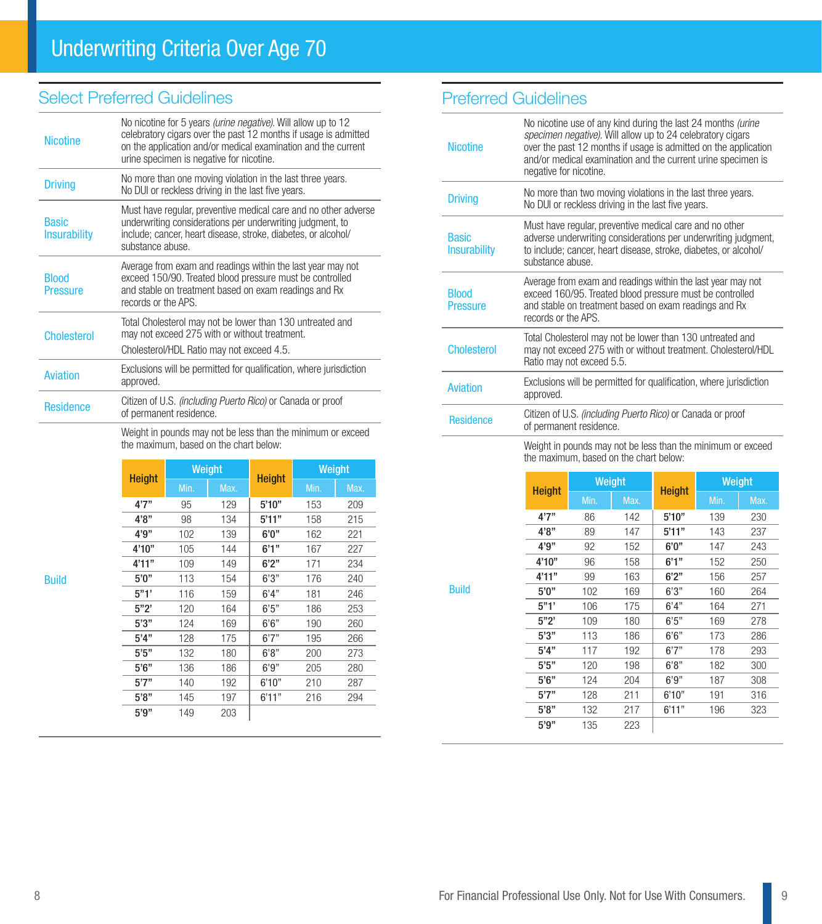## Select Preferred Guidelines

| <b>Nicotine</b>                     | No nicotine for 5 years <i>(urine negative)</i> . Will allow up to 12<br>celebratory cigars over the past 12 months if usage is admitted<br>on the application and/or medical examination and the current<br>urine specimen is negative for nicotine. |
|-------------------------------------|-------------------------------------------------------------------------------------------------------------------------------------------------------------------------------------------------------------------------------------------------------|
| <b>Driving</b>                      | No more than one moving violation in the last three years.<br>No DUI or reckless driving in the last five years.                                                                                                                                      |
| <b>Basic</b><br><b>Insurability</b> | Must have regular, preventive medical care and no other adverse<br>underwriting considerations per underwriting judgment, to<br>include; cancer, heart disease, stroke, diabetes, or alcohol/<br>substance abuse.                                     |
| <b>Blood</b><br>Pressure            | Average from exam and readings within the last year may not<br>exceed 150/90. Treated blood pressure must be controlled<br>and stable on treatment based on exam readings and Rx<br>records or the APS.                                               |
| <b>Cholesterol</b>                  | Total Cholesterol may not be lower than 130 untreated and<br>may not exceed 275 with or without treatment.<br>Cholesterol/HDL Ratio may not exceed 4.5.                                                                                               |
| <b>Aviation</b>                     | Exclusions will be permitted for qualification, where jurisdiction<br>approved.                                                                                                                                                                       |
| <b>Residence</b>                    | Citizen of U.S. <i>(including Puerto Rico)</i> or Canada or proof<br>of permanent residence.                                                                                                                                                          |

Weight in pounds may not be less than the minimum or exceed the maximum, based on the chart below:

| <b>Height</b> | Weight |      | <b>Height</b> | Weight |      |
|---------------|--------|------|---------------|--------|------|
|               | Min.   | Max. |               | Min.   | Max. |
| 4'7''         | 95     | 129  | 5'10"         | 153    | 209  |
| 4'8"          | 98     | 134  | 5'11"         | 158    | 215  |
| 4'9''         | 102    | 139  | 6'0''         | 162    | 221  |
| 4'10''        | 105    | 144  | 6'1''         | 167    | 227  |
| 4'11"         | 109    | 149  | 6'2"          | 171    | 234  |
| 5'0''         | 113    | 154  | 6'3''         | 176    | 240  |
| 5"1'          | 116    | 159  | 6'4''         | 181    | 246  |
| 5"2"          | 120    | 164  | 6'5''         | 186    | 253  |
| 5'3''         | 124    | 169  | 6'6''         | 190    | 260  |
| 5'4"          | 128    | 175  | 6'7''         | 195    | 266  |
| 5'5''         | 132    | 180  | 6'8"          | 200    | 273  |
| 5'6''         | 136    | 186  | 6'9''         | 205    | 280  |
| 5'7''         | 140    | 192  | 6'10"         | 210    | 287  |
| 5'8"          | 145    | 197  | 6'11"         | 216    | 294  |
| 5'9"          | 149    | 203  |               |        |      |

Build

## Preferred Guidelines

Build

| <b>Nicotine</b>                     | No nicotine use of any kind during the last 24 months (urine<br>specimen negative). Will allow up to 24 celebratory cigars<br>over the past 12 months if usage is admitted on the application<br>and/or medical examination and the current urine specimen is<br>negative for nicotine. |
|-------------------------------------|-----------------------------------------------------------------------------------------------------------------------------------------------------------------------------------------------------------------------------------------------------------------------------------------|
| <b>Driving</b>                      | No more than two moving violations in the last three years.<br>No DUI or reckless driving in the last five years.                                                                                                                                                                       |
| <b>Basic</b><br><b>Insurability</b> | Must have regular, preventive medical care and no other<br>adverse underwriting considerations per underwriting judgment,<br>to include; cancer, heart disease, stroke, diabetes, or alcohol/<br>substance abuse.                                                                       |
| <b>Blood</b><br><b>Pressure</b>     | Average from exam and readings within the last year may not<br>exceed 160/95. Treated blood pressure must be controlled<br>and stable on treatment based on exam readings and Rx<br>records or the APS.                                                                                 |
| <b>Cholesterol</b>                  | Total Cholesterol may not be lower than 130 untreated and<br>may not exceed 275 with or without treatment. Cholesterol/HDL<br>Ratio may not exceed 5.5.                                                                                                                                 |
| <b>Aviation</b>                     | Exclusions will be permitted for qualification, where jurisdiction<br>approved.                                                                                                                                                                                                         |
| <b>Residence</b>                    | Citizen of U.S. <i>(including Puerto Rico)</i> or Canada or proof<br>of permanent residence.                                                                                                                                                                                            |
|                                     | Weight in pounds may not be less than the minimum or exceed                                                                                                                                                                                                                             |

Weight in pounds may not be less than the minimum or exceed the maximum, based on the chart below:

| <b>Height</b> | Weight |      | <b>Height</b> | Weight |      |
|---------------|--------|------|---------------|--------|------|
|               | Min.   | Max. |               | Min.   | Max. |
| 4'7''         | 86     | 142  | 5'10"         | 139    | 230  |
| 4'8"          | 89     | 147  | 5'11"         | 143    | 237  |
| 4'9"          | 92     | 152  | 6'0''         | 147    | 243  |
| 4'10"         | 96     | 158  | 6'1''         | 152    | 250  |
| 4'11"         | 99     | 163  | 6'2"          | 156    | 257  |
| 5'0''         | 102    | 169  | 6'3''         | 160    | 264  |
| 5"1"          | 106    | 175  | 6'4"          | 164    | 271  |
| 5"2"          | 109    | 180  | 6'5''         | 169    | 278  |
| 5'3''         | 113    | 186  | 6'6''         | 173    | 286  |
| 5'4''         | 117    | 192  | 6'7''         | 178    | 293  |
| 5'5"          | 120    | 198  | 6'8"          | 182    | 300  |
| 5'6''         | 124    | 204  | 6'9''         | 187    | 308  |
| 5'7''         | 128    | 211  | 6'10"         | 191    | 316  |
| 5'8"          | 132    | 217  | 6'11"         | 196    | 323  |
| 5'9''         | 135    | 223  |               |        |      |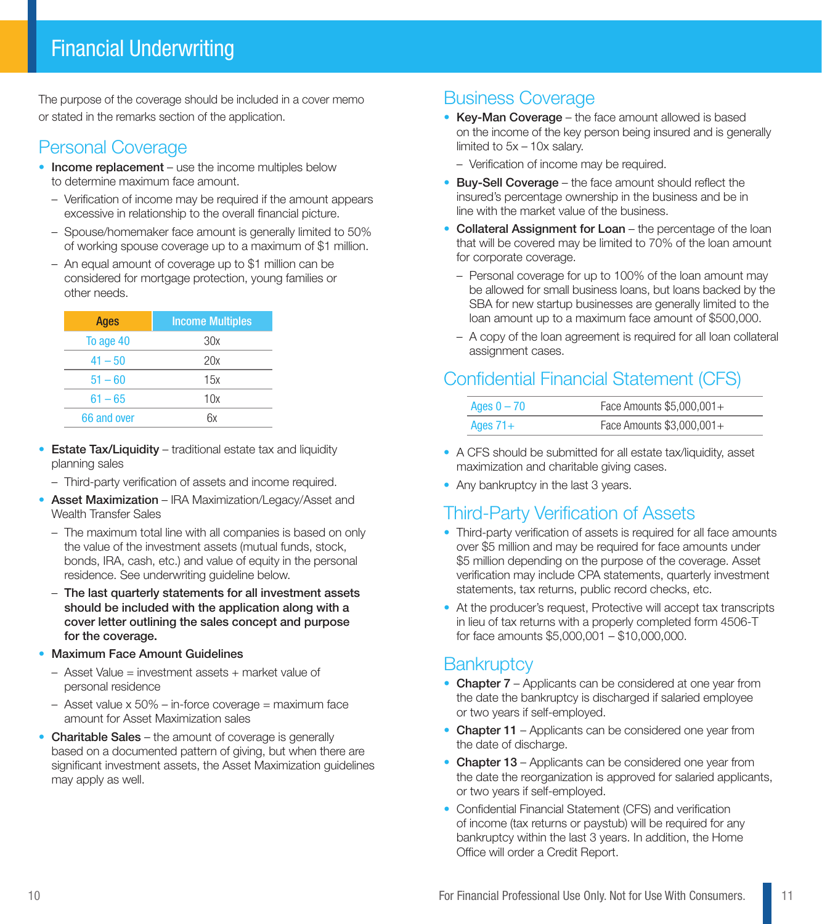The purpose of the coverage should be included in a cover memo or stated in the remarks section of the application.

# Personal Coverage

- Income replacement use the income multiples below to determine maximum face amount.
	- Verification of income may be required if the amount appears excessive in relationship to the overall financial picture.
	- Spouse/homemaker face amount is generally limited to 50% of working spouse coverage up to a maximum of \$1 million.
	- An equal amount of coverage up to \$1 million can be considered for mortgage protection, young families or other needs.

| <b>Ages</b> | <b>Income Multiples</b> |
|-------------|-------------------------|
| To age 40   | 30x                     |
| $41 - 50$   | 20x                     |
| $51 - 60$   | 15x                     |
| $61 - 65$   | 10x                     |
| 66 and over | ĥх                      |

- Estate Tax/Liquidity traditional estate tax and liquidity planning sales
	- Third-party verification of assets and income required.
- Asset Maximization IRA Maximization/Legacy/Asset and Wealth Transfer Sales
	- The maximum total line with all companies is based on only the value of the investment assets (mutual funds, stock, bonds, IRA, cash, etc.) and value of equity in the personal residence. See underwriting guideline below.
	- The last quarterly statements for all investment assets should be included with the application along with a cover letter outlining the sales concept and purpose for the coverage.
- Maximum Face Amount Guidelines
	- Asset Value = investment assets + market value of personal residence
	- $-$  Asset value x 50% in-force coverage = maximum face amount for Asset Maximization sales
- Charitable Sales the amount of coverage is generally based on a documented pattern of giving, but when there are significant investment assets, the Asset Maximization guidelines may apply as well.

## Business Coverage

- Key-Man Coverage the face amount allowed is based on the income of the key person being insured and is generally limited to 5x – 10x salary.
	- Verification of income may be required.
- Buy-Sell Coverage the face amount should reflect the insured's percentage ownership in the business and be in line with the market value of the business.
- Collateral Assignment for Loan the percentage of the loan that will be covered may be limited to 70% of the loan amount for corporate coverage.
	- Personal coverage for up to 100% of the loan amount may be allowed for small business loans, but loans backed by the SBA for new startup businesses are generally limited to the loan amount up to a maximum face amount of \$500,000.
	- A copy of the loan agreement is required for all loan collateral assignment cases.

# Confidential Financial Statement (CFS)

| Ages $0 - 70$ | Face Amounts \$5,000,001+ |
|---------------|---------------------------|
| Ages $71+$    | Face Amounts \$3,000,001+ |

- A CFS should be submitted for all estate tax/liquidity, asset maximization and charitable giving cases.
- Any bankruptcy in the last 3 years.

# Third-Party Verification of Assets

- Third-party verification of assets is required for all face amounts over \$5 million and may be required for face amounts under \$5 million depending on the purpose of the coverage. Asset verification may include CPA statements, quarterly investment statements, tax returns, public record checks, etc.
- At the producer's request, Protective will accept tax transcripts in lieu of tax returns with a properly completed form 4506-T for face amounts \$5,000,001 – \$10,000,000.

## **Bankruptcy**

- Chapter 7 Applicants can be considered at one year from the date the bankruptcy is discharged if salaried employee or two years if self-employed.
- Chapter 11 Applicants can be considered one year from the date of discharge.
- Chapter 13 Applicants can be considered one year from the date the reorganization is approved for salaried applicants, or two years if self-employed.
- Confidential Financial Statement (CFS) and verification of income (tax returns or paystub) will be required for any bankruptcy within the last 3 years. In addition, the Home Office will order a Credit Report.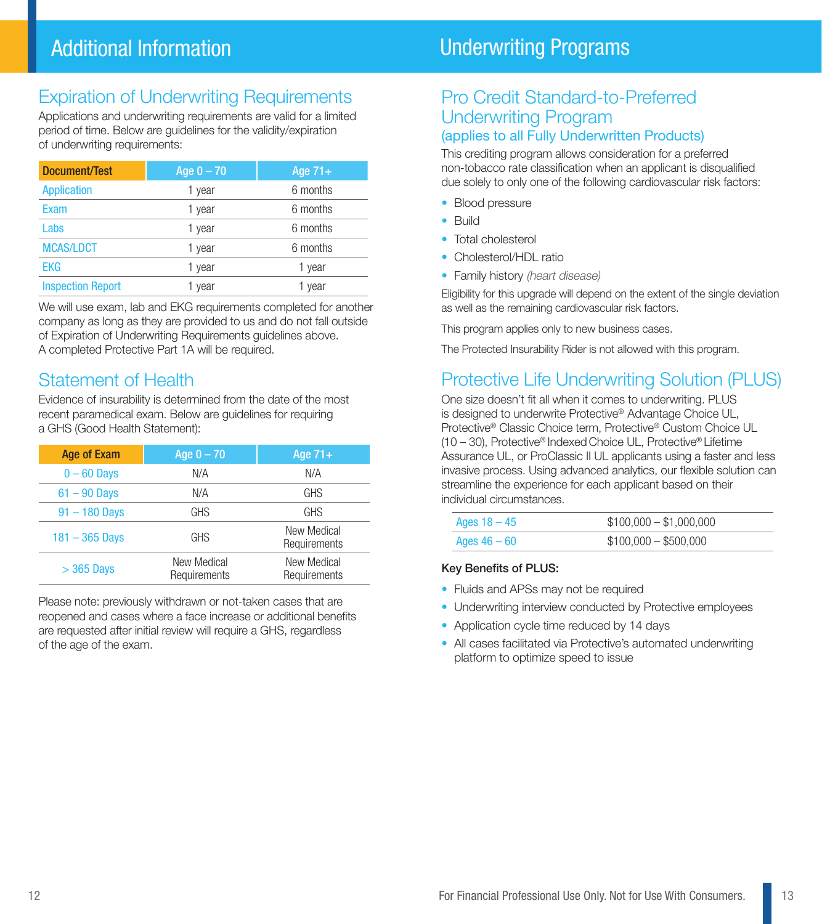# Expiration of Underwriting Requirements

Applications and underwriting requirements are valid for a limited period of time. Below are guidelines for the validity/expiration of underwriting requirements:

| Document/Test            | Age $0 - 70$ | Age $71+$ |  |
|--------------------------|--------------|-----------|--|
| <b>Application</b>       | 1 year       | 6 months  |  |
| Exam                     | 1 year       | 6 months  |  |
| Labs                     | 1 year       | 6 months  |  |
| <b>MCAS/LDCT</b>         | 1 year       | 6 months  |  |
| <b>EKG</b>               | 1 year       | 1 year    |  |
| <b>Inspection Report</b> | 1 vear       | 1 year    |  |

We will use exam, lab and EKG requirements completed for another company as long as they are provided to us and do not fall outside of Expiration of Underwriting Requirements guidelines above. A completed Protective Part 1A will be required.

#### Statement of Health

Evidence of insurability is determined from the date of the most recent paramedical exam. Below are guidelines for requiring a GHS (Good Health Statement):

| Age of Exam      | Age $0 - 70$                | Age $71+$                   |
|------------------|-----------------------------|-----------------------------|
| $0 - 60$ Days    | N/A                         | N/A                         |
| $61 - 90$ Days   | N/A                         | <b>GHS</b>                  |
| $91 - 180$ Days  | <b>GHS</b>                  | <b>GHS</b>                  |
| $181 - 365$ Days | <b>GHS</b>                  | New Medical<br>Requirements |
| $>$ 365 Days     | New Medical<br>Requirements | New Medical<br>Requirements |

Please note: previously withdrawn or not-taken cases that are reopened and cases where a face increase or additional benefits are requested after initial review will require a GHS, regardless of the age of the exam.

# Underwriting Programs

#### Pro Credit Standard-to-Preferred Underwriting Program (applies to all Fully Underwritten Products)

This crediting program allows consideration for a preferred non-tobacco rate classification when an applicant is disqualified due solely to only one of the following cardiovascular risk factors:

- Blood pressure
- Build
- Total cholesterol
- Cholesterol/HDL ratio
- Family history (heart disease)

Eligibility for this upgrade will depend on the extent of the single deviation as well as the remaining cardiovascular risk factors.

This program applies only to new business cases.

The Protected Insurability Rider is not allowed with this program.

# Protective Life Underwriting Solution (PLUS)

One size doesn't fit all when it comes to underwriting. PLUS is designed to underwrite Protective® Advantage Choice UL, Protective® Classic Choice term, Protective® Custom Choice UL (10 – 30), Protective® Indexed Choice UL, Protective® Lifetime Assurance UL, or ProClassic II UL applicants using a faster and less invasive process. Using advanced analytics, our flexible solution can streamline the experience for each applicant based on their individual circumstances.

| Ages $18 - 45$ | $$100,000 - $1,000,000$ |
|----------------|-------------------------|
| Ages $46-60$   | $$100,000 - $500,000$   |

#### Key Benefits of PLUS:

- Fluids and APSs may not be required
- Underwriting interview conducted by Protective employees
- Application cycle time reduced by 14 days
- All cases facilitated via Protective's automated underwriting platform to optimize speed to issue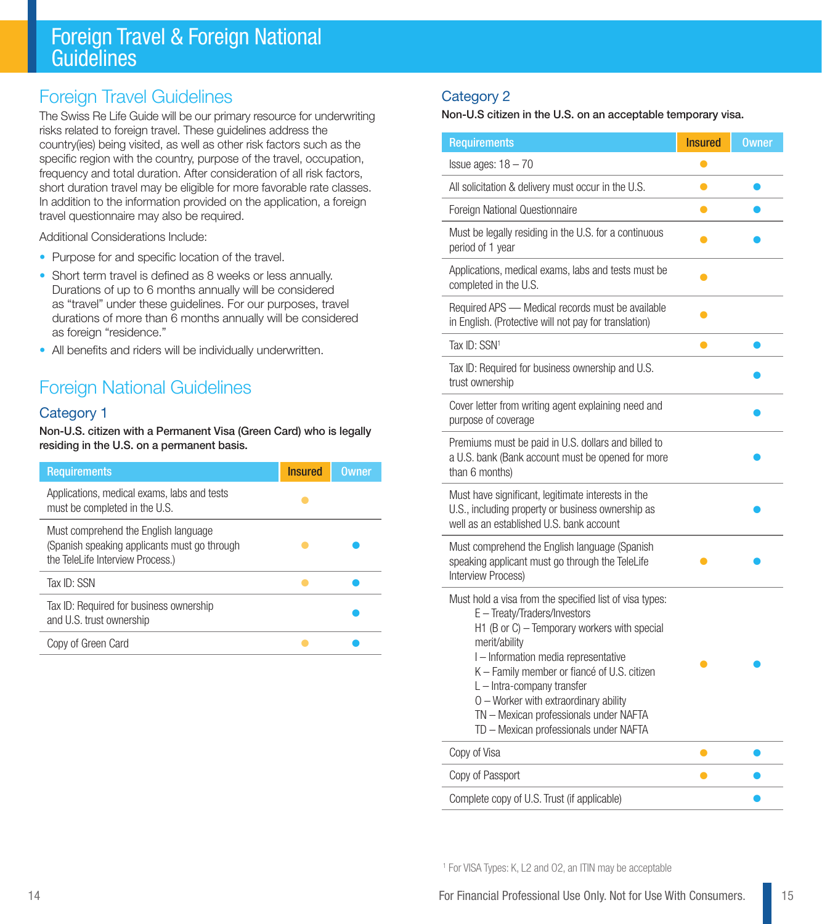# Foreign Travel & Foreign National **Guidelines**

# Foreign Travel Guidelines

The Swiss Re Life Guide will be our primary resource for underwriting risks related to foreign travel. These guidelines address the country(ies) being visited, as well as other risk factors such as the specific region with the country, purpose of the travel, occupation, frequency and total duration. After consideration of all risk factors, short duration travel may be eligible for more favorable rate classes. In addition to the information provided on the application, a foreign travel questionnaire may also be required.

Additional Considerations Include:

- Purpose for and specific location of the travel.
- Short term travel is defined as 8 weeks or less annually. Durations of up to 6 months annually will be considered as "travel" under these guidelines. For our purposes, travel durations of more than 6 months annually will be considered as foreign "residence."
- All benefits and riders will be individually underwritten.

# Foreign National Guidelines

#### Category 1

Non-U.S. citizen with a Permanent Visa (Green Card) who is legally residing in the U.S. on a permanent basis.

| <b>Requirements</b>                                                                                                      | <b>Insured</b> | <b>Owner</b> |
|--------------------------------------------------------------------------------------------------------------------------|----------------|--------------|
| Applications, medical exams, labs and tests<br>must be completed in the U.S.                                             |                |              |
| Must comprehend the English language<br>(Spanish speaking applicants must go through<br>the TeleLife Interview Process.) |                |              |
| Tax ID: SSN                                                                                                              |                |              |
| Tax ID: Required for business ownership<br>and U.S. trust ownership                                                      |                |              |
| Copy of Green Card                                                                                                       |                |              |

#### Category 2

Non-U.S citizen in the U.S. on an acceptable temporary visa.

| <b>Requirements</b>                                                                                                                                                                                                                                                                                                                                                                                      | <b>Insured</b> | <b>Owner</b> |
|----------------------------------------------------------------------------------------------------------------------------------------------------------------------------------------------------------------------------------------------------------------------------------------------------------------------------------------------------------------------------------------------------------|----------------|--------------|
| $l$ ssue ages: $18 - 70$                                                                                                                                                                                                                                                                                                                                                                                 | $\bullet$      |              |
| All solicitation & delivery must occur in the U.S.                                                                                                                                                                                                                                                                                                                                                       | $\bullet$      |              |
| Foreign National Questionnaire                                                                                                                                                                                                                                                                                                                                                                           | ●              |              |
| Must be legally residing in the U.S. for a continuous<br>period of 1 year                                                                                                                                                                                                                                                                                                                                |                |              |
| Applications, medical exams, labs and tests must be<br>completed in the U.S.                                                                                                                                                                                                                                                                                                                             | $\bullet$      |              |
| Required APS - Medical records must be available<br>in English. (Protective will not pay for translation)                                                                                                                                                                                                                                                                                                | $\bullet$      |              |
| Tax ID: SSN <sup>1</sup>                                                                                                                                                                                                                                                                                                                                                                                 |                |              |
| Tax ID: Required for business ownership and U.S.<br>trust ownership                                                                                                                                                                                                                                                                                                                                      |                |              |
| Cover letter from writing agent explaining need and<br>purpose of coverage                                                                                                                                                                                                                                                                                                                               |                |              |
| Premiums must be paid in U.S. dollars and billed to<br>a U.S. bank (Bank account must be opened for more<br>than 6 months)                                                                                                                                                                                                                                                                               |                |              |
| Must have significant, legitimate interests in the<br>U.S., including property or business ownership as<br>well as an established U.S. bank account                                                                                                                                                                                                                                                      |                |              |
| Must comprehend the English language (Spanish<br>speaking applicant must go through the TeleLife<br>Interview Process)                                                                                                                                                                                                                                                                                   |                |              |
| Must hold a visa from the specified list of visa types:<br>E - Treaty/Traders/Investors<br>H1 (B or C) - Temporary workers with special<br>merit/ability<br>I-Information media representative<br>K - Family member or fiancé of U.S. citizen<br>L - Intra-company transfer<br>O - Worker with extraordinary ability<br>TN - Mexican professionals under NAFTA<br>TD - Mexican professionals under NAFTA |                |              |
| Copy of Visa                                                                                                                                                                                                                                                                                                                                                                                             | 0              |              |
| Copy of Passport                                                                                                                                                                                                                                                                                                                                                                                         |                |              |
| Complete copy of U.S. Trust (if applicable)                                                                                                                                                                                                                                                                                                                                                              |                |              |

<sup>1</sup> For VISA Types: K, L2 and O2, an ITIN may be acceptable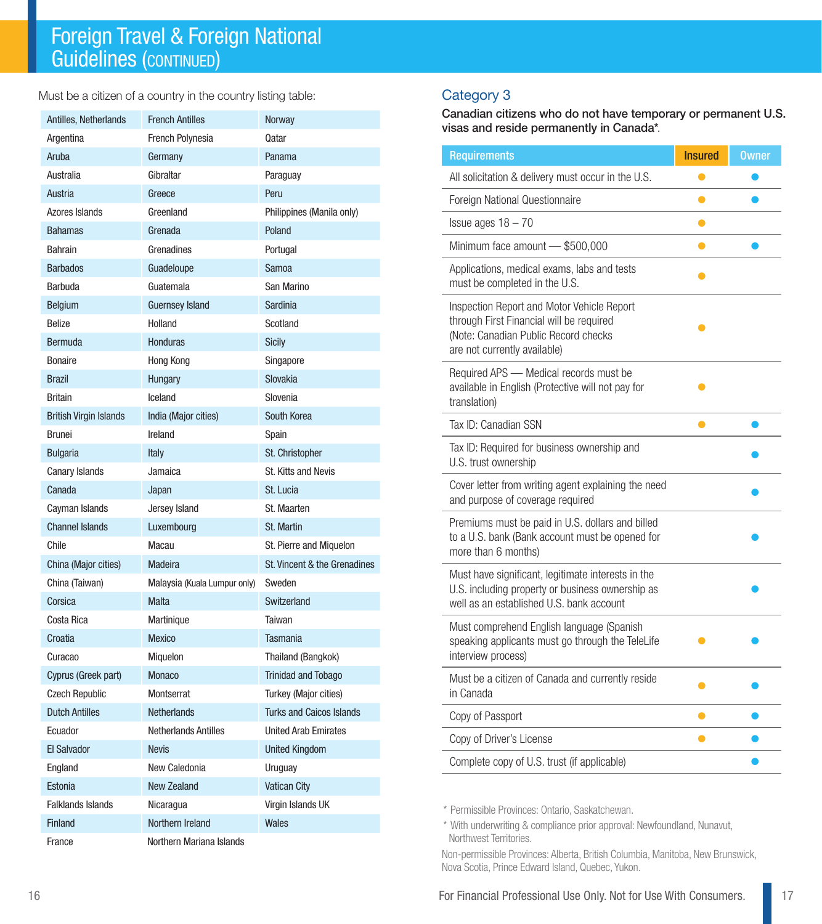Must be a citizen of a country in the country listing table:

| Antilles, Netherlands         | <b>French Antilles</b>       | Norway                          |
|-------------------------------|------------------------------|---------------------------------|
| Argentina                     | French Polynesia             | Qatar                           |
| Aruba                         | Germany                      | Panama                          |
| Australia                     | Gibraltar                    | Paraguay                        |
| Austria                       | Greece                       | Peru                            |
| Azores Islands                | Greenland                    | Philippines (Manila only)       |
| <b>Bahamas</b>                | Grenada                      | Poland                          |
| <b>Bahrain</b>                | Grenadines                   | Portugal                        |
| <b>Barbados</b>               | Guadeloupe                   | Samoa                           |
| Barbuda                       | Guatemala                    | San Marino                      |
| <b>Belgium</b>                | <b>Guernsey Island</b>       | Sardinia                        |
| Belize                        | Holland                      | Scotland                        |
| <b>Bermuda</b>                | <b>Honduras</b>              | <b>Sicily</b>                   |
| <b>Bonaire</b>                | Hong Kong                    | Singapore                       |
| <b>Brazil</b>                 | Hungary                      | Slovakia                        |
| <b>Britain</b>                | Iceland                      | Slovenia                        |
| <b>British Virgin Islands</b> | India (Major cities)         | South Korea                     |
| <b>Brunei</b>                 | Ireland                      | Spain                           |
| <b>Bulgaria</b>               | Italy                        | St. Christopher                 |
| Canary Islands                | Jamaica                      | St. Kitts and Nevis             |
| Canada                        | Japan                        | St. Lucia                       |
| Cayman Islands                | Jersey Island                | St. Maarten                     |
| <b>Channel Islands</b>        | Luxembourg                   | St. Martin                      |
| Chile                         | Macau                        | St. Pierre and Miquelon         |
| China (Major cities)          | Madeira                      | St. Vincent & the Grenadines    |
| China (Taiwan)                | Malaysia (Kuala Lumpur only) | Sweden                          |
| Corsica                       | Malta                        | Switzerland                     |
| Costa Rica                    | Martinique                   | Taiwan                          |
| Croatia                       | <b>Mexico</b>                | <b>Tasmania</b>                 |
| Curacao                       | Miquelon                     | Thailand (Bangkok)              |
| Cyprus (Greek part)           | <b>Monaco</b>                | <b>Trinidad and Tobago</b>      |
| <b>Czech Republic</b>         | Montserrat                   | Turkey (Major cities)           |
| <b>Dutch Antilles</b>         | <b>Netherlands</b>           | <b>Turks and Caicos Islands</b> |
| Ecuador                       | <b>Netherlands Antilles</b>  | <b>United Arab Emirates</b>     |
| <b>El Salvador</b>            | <b>Nevis</b>                 | <b>United Kingdom</b>           |
| England                       | New Caledonia                | Uruguay                         |
| Estonia                       | <b>New Zealand</b>           | <b>Vatican City</b>             |
| <b>Falklands Islands</b>      | Nicaragua                    | Virgin Islands UK               |
| <b>Finland</b>                | Northern Ireland             | Wales                           |
| France                        | Northern Mariana Islands     |                                 |

#### Category 3

Canadian citizens who do not have temporary or permanent U.S. visas and reside permanently in Canada\*.

| <b>Requirements</b>                                                                                                                                            | <b>Insured</b> | <b>Owner</b> |
|----------------------------------------------------------------------------------------------------------------------------------------------------------------|----------------|--------------|
| All solicitation & delivery must occur in the U.S.                                                                                                             | $\bullet$      |              |
| Foreign National Questionnaire                                                                                                                                 | $\bullet$      |              |
| Issue ages $18 - 70$                                                                                                                                           | e              |              |
| Minimum face amount - \$500,000                                                                                                                                | ●              |              |
| Applications, medical exams, labs and tests<br>must be completed in the U.S.                                                                                   | ●              |              |
| Inspection Report and Motor Vehicle Report<br>through First Financial will be required<br>(Note: Canadian Public Record checks<br>are not currently available) |                |              |
| Required APS - Medical records must be<br>available in English (Protective will not pay for<br>translation)                                                    |                |              |
| Tax ID: Canadian SSN                                                                                                                                           |                |              |
| Tax ID: Required for business ownership and<br>U.S. trust ownership                                                                                            |                |              |
| Cover letter from writing agent explaining the need<br>and purpose of coverage required                                                                        |                |              |
| Premiums must be paid in U.S. dollars and billed<br>to a U.S. bank (Bank account must be opened for<br>more than 6 months)                                     |                |              |
| Must have significant, legitimate interests in the<br>U.S. including property or business ownership as<br>well as an established U.S. bank account             |                |              |
| Must comprehend English language (Spanish<br>speaking applicants must go through the TeleLife<br>interview process)                                            |                |              |
| Must be a citizen of Canada and currently reside<br>in Canada                                                                                                  |                |              |
| Copy of Passport                                                                                                                                               | ●              |              |
| Copy of Driver's License                                                                                                                                       |                |              |
| Complete copy of U.S. trust (if applicable)                                                                                                                    |                |              |

\* Permissible Provinces: Ontario, Saskatchewan.

\* With underwriting & compliance prior approval: Newfoundland, Nunavut, Northwest Territories.

Non-permissible Provinces: Alberta, British Columbia, Manitoba, New Brunswick, Nova Scotia, Prince Edward Island, Quebec, Yukon.